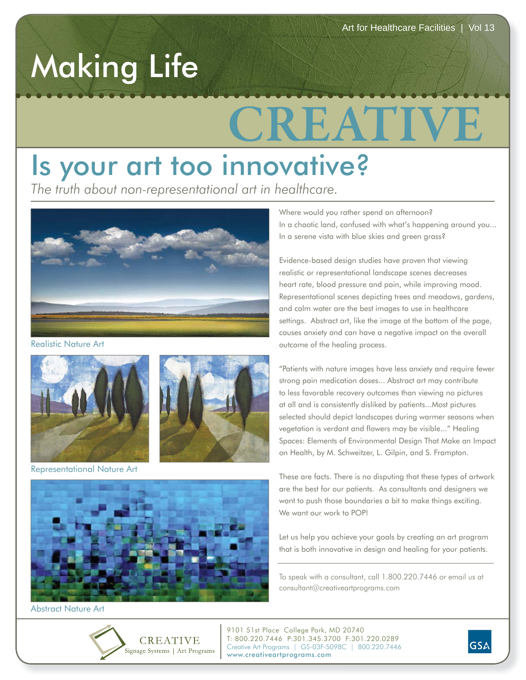## Making Life

## **CREATIVE**

## Is your art too innovative?

*The truth about non-representational art in healthcare.*



Realistic Nature Art





Representational Nature Art



Abstract Nature Art



Where would you rather spend an afternoon? In a chaotic land, confused with what's happening around you... In a serene vista with blue skies and green grass?

Evidence-based design studies have proven that viewing realistic or representational landscape scenes decreases heart rate, blood pressure and pain, while improving mood. Representational scenes depicting trees and meadows, gardens, and calm water are the best images to use in healthcare settings. Abstract art, like the image at the bottom of the page, causes anxiety and can have a negative impact on the overall outcome of the healing process.

"Patients with nature images have less anxiety and require fewer strong pain medication doses... Abstract art may contribute to less favorable recovery outcomes than viewing no pictures at all and is consistently disliked by patients...Most pictures selected should depict landscapes during warmer seasons when vegetation is verdant and flowers may be visible..." Healing Spaces: Elements of Environmental Design That Make an Impact on Health, by M. Schweitzer, L. Gilpin, and S. Frampton.

These are facts. There is no disputing that these types of artwork are the best for our patients. As consultants and designers we want to push those boundaries a bit to make things exciting. We want our work to POP!

Let us help you achieve your goals by creating an art program that is both innovative in design and healing for your patients.

To speak with a consultant, call 1.800.220.7446 or email us at consultant@creativeartprograms.com

9101 51st Place College Park, MD 20740 T: 800.220.7446 P:301.345.3700 F:301.220.0289 Creative Art Programs | GS-03F-5098C | 800.220.7446 www.creativeartprograms.com